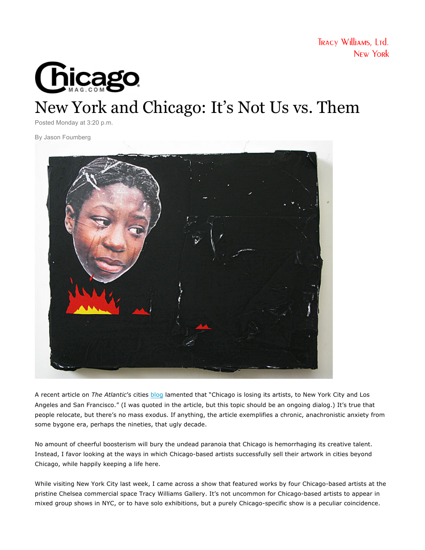

## [New York and Chicago: It's Not Us vs. Them](http://www.chicagomag.com/Chicago-Magazine/C-Notes/February-2013/New-York-and-Chicago-Its-not-Us-Vs-Them/)

Posted Monday at 3:20 p.m.

By Jason Foumberg



A recent article on *The Atlantic*'s cities blog lamented that "Chicago is losing its artists, to New York City and Los Angeles and San Francisco." (I was quoted in the article, but this topic should be an ongoing dialog.) It's true that people relocate, but there's no mass exodus. If anything, the article exemplifies a chronic, anachronistic anxiety from some bygone era, perhaps the nineties, that ugly decade.

No amount of cheerful boosterism will bury the undead paranoia that Chicago is hemorrhaging its creative talent. Instead, I favor looking at the ways in which Chicago-based artists successfully sell their artwork in cities beyond Chicago, while happily keeping a life here.

While visiting New York City last week, I came across a show that featured works by four Chicago-based artists at the pristine Chelsea commercial space Tracy Williams Gallery. It's not uncommon for Chicago-based artists to appear in mixed group shows in NYC, or to have solo exhibitions, but a purely Chicago-specific show is a peculiar coincidence.